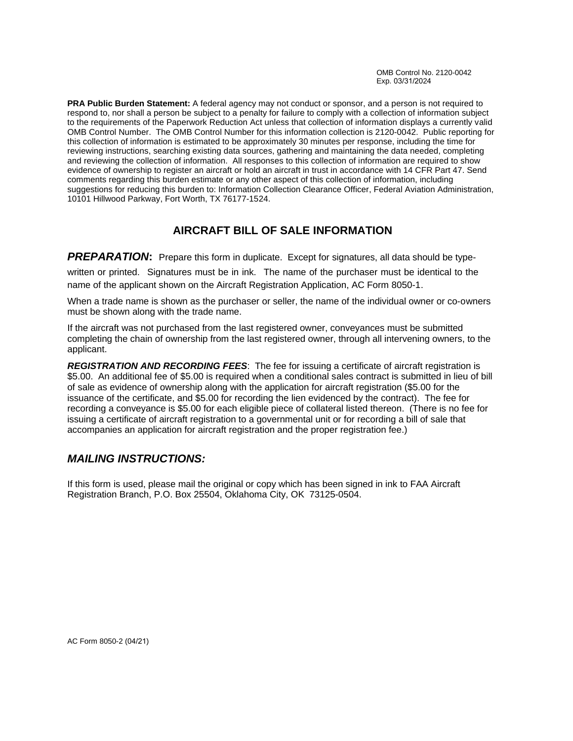**PRA Public Burden Statement:** A federal agency may not conduct or sponsor, and a person is not required to respond to, nor shall a person be subject to a penalty for failure to comply with a collection of information subject to the requirements of the Paperwork Reduction Act unless that collection of information displays a currently valid OMB Control Number. The OMB Control Number for this information collection is 2120-0042. Public reporting for this collection of information is estimated to be approximately 30 minutes per response, including the time for reviewing instructions, searching existing data sources, gathering and maintaining the data needed, completing and reviewing the collection of information. All responses to this collection of information are required to show evidence of ownership to register an aircraft or hold an aircraft in trust in accordance with 14 CFR Part 47. Send comments regarding this burden estimate or any other aspect of this collection of information, including suggestions for reducing this burden to: Information Collection Clearance Officer, Federal Aviation Administration, 10101 Hillwood Parkway, Fort Worth, TX 76177-1524.

## **AIRCRAFT BILL OF SALE INFORMATION**

**PREPARATION:** Prepare this form in duplicate. Except for signatures, all data should be typewritten or printed. Signatures must be in ink. The name of the purchaser must be identical to the name of the applicant shown on the Aircraft Registration Application, AC Form 8050-1.

When a trade name is shown as the purchaser or seller, the name of the individual owner or co-owners must be shown along with the trade name.

If the aircraft was not purchased from the last registered owner, conveyances must be submitted completing the chain of ownership from the last registered owner, through all intervening owners, to the applicant.

*REGISTRATION AND RECORDING FEES*: The fee for issuing a certificate of aircraft registration is \$5.00. An additional fee of \$5.00 is required when a conditional sales contract is submitted in lieu of bill of sale as evidence of ownership along with the application for aircraft registration (\$5.00 for the issuance of the certificate, and \$5.00 for recording the lien evidenced by the contract). The fee for recording a conveyance is \$5.00 for each eligible piece of collateral listed thereon. (There is no fee for issuing a certificate of aircraft registration to a governmental unit or for recording a bill of sale that accompanies an application for aircraft registration and the proper registration fee.)

## *MAILING INSTRUCTIONS:*

If this form is used, please mail the original or copy which has been signed in ink to FAA Aircraft Registration Branch, P.O. Box 25504, Oklahoma City, OK 73125-0504.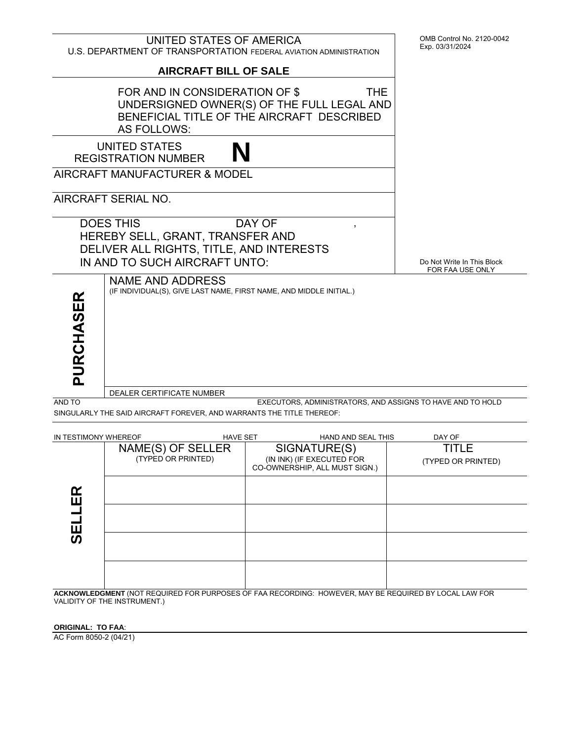

| IN TESTIMONY WHEREOF                                                                                  |                                         | <b>HAVE SET</b> | <b>HAND AND SEAL THIS</b>                                                  | DAY OF                      |
|-------------------------------------------------------------------------------------------------------|-----------------------------------------|-----------------|----------------------------------------------------------------------------|-----------------------------|
|                                                                                                       | NAME(S) OF SELLER<br>(TYPED OR PRINTED) |                 | SIGNATURE(S)<br>(IN INK) (IF EXECUTED FOR<br>CO-OWNERSHIP, ALL MUST SIGN.) | TITLE<br>(TYPED OR PRINTED) |
| œ<br>ш                                                                                                |                                         |                 |                                                                            |                             |
| ш                                                                                                     |                                         |                 |                                                                            |                             |
| ທ                                                                                                     |                                         |                 |                                                                            |                             |
|                                                                                                       |                                         |                 |                                                                            |                             |
| ACKNOWLEDGMENT (NOT REQUIRED FOR PURPOSES OF FAA RECORDING: HOWEVER, MAY RE REQUIRED RY LOCAL LAW FOR |                                         |                 |                                                                            |                             |

FAA RECORDING: HOWEVER, MAY BE REQUIRED BY LOCAL LAW FOR VALIDITY OF THE INSTRUMENT.)

**ORIGINAL: TO FAA**:

AC Form 8050-2 (04/21)